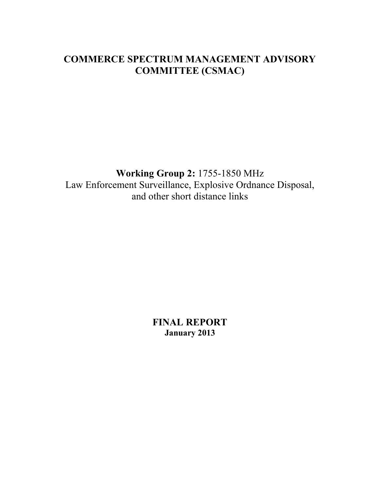### **COMMERCE SPECTRUM MANAGEMENT ADVISORY COMMITTEE (CSMAC)**

**Working Group 2:** 1755-1850 MHz Law Enforcement Surveillance, Explosive Ordnance Disposal, and other short distance links

> **FINAL REPORT January 2013**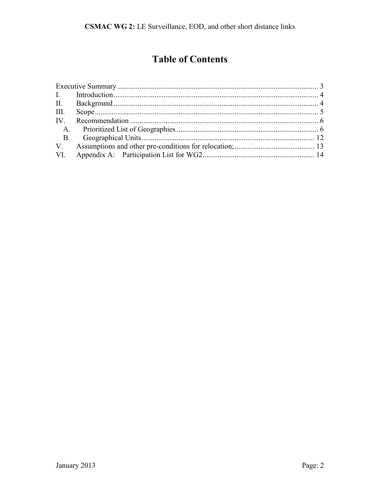# **Table of Contents**

| <b>B.</b> |  |
|-----------|--|
|           |  |
|           |  |
|           |  |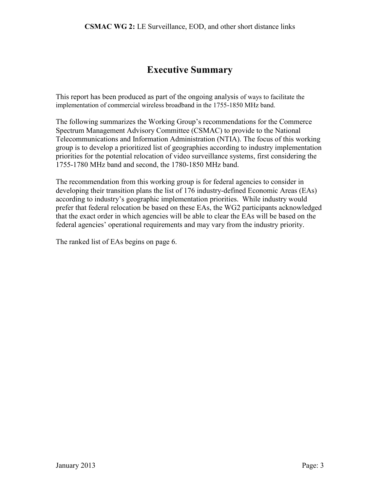#### **Executive Summary**

<span id="page-2-0"></span>This report has been produced as part of the ongoing analysis of ways to facilitate the implementation of commercial wireless broadband in the 1755-1850 MHz band.

The following summarizes the Working Group's recommendations for the Commerce Spectrum Management Advisory Committee (CSMAC) to provide to the National Telecommunications and Information Administration (NTIA). The focus of this working group is to develop a prioritized list of geographies according to industry implementation priorities for the potential relocation of video surveillance systems, first considering the 1755-1780 MHz band and second, the 1780-1850 MHz band.

The recommendation from this working group is for federal agencies to consider in developing their transition plans the list of 176 industry-defined Economic Areas (EAs) according to industry's geographic implementation priorities. While industry would prefer that federal relocation be based on these EAs, the WG2 participants acknowledged that the exact order in which agencies will be able to clear the EAs will be based on the federal agencies' operational requirements and may vary from the industry priority.

The ranked list of EAs begins on page 6.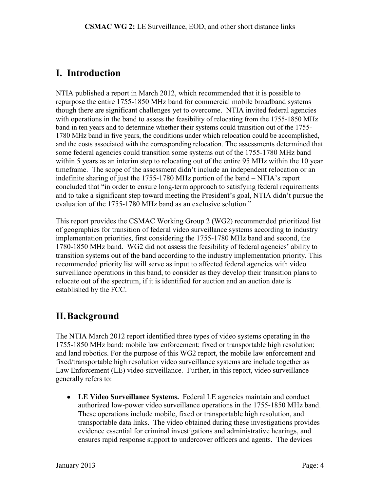#### <span id="page-3-0"></span>**I. Introduction**

NTIA published a report in March 2012, which recommended that it is possible to repurpose the entire 1755-1850 MHz band for commercial mobile broadband systems though there are significant challenges yet to overcome. NTIA invited federal agencies with operations in the band to assess the feasibility of relocating from the 1755-1850 MHz band in ten years and to determine whether their systems could transition out of the 1755- 1780 MHz band in five years, the conditions under which relocation could be accomplished, and the costs associated with the corresponding relocation. The assessments determined that some federal agencies could transition some systems out of the 1755-1780 MHz band within 5 years as an interim step to relocating out of the entire 95 MHz within the 10 year timeframe. The scope of the assessment didn't include an independent relocation or an indefinite sharing of just the 1755-1780 MHz portion of the band – NTIA's report concluded that "in order to ensure long-term approach to satisfying federal requirements and to take a significant step toward meeting the President's goal, NTIA didn't pursue the evaluation of the 1755-1780 MHz band as an exclusive solution."

This report provides the CSMAC Working Group 2 (WG2) recommended prioritized list of geographies for transition of federal video surveillance systems according to industry implementation priorities, first considering the 1755-1780 MHz band and second, the 1780-1850 MHz band. WG2 did not assess the feasibility of federal agencies' ability to transition systems out of the band according to the industry implementation priority. This recommended priority list will serve as input to affected federal agencies with video surveillance operations in this band, to consider as they develop their transition plans to relocate out of the spectrum, if it is identified for auction and an auction date is established by the FCC.

## <span id="page-3-1"></span>**II.Background**

The NTIA March 2012 report identified three types of video systems operating in the 1755-1850 MHz band: mobile law enforcement; fixed or transportable high resolution; and land robotics. For the purpose of this WG2 report, the mobile law enforcement and fixed/transportable high resolution video surveillance systems are include together as Law Enforcement (LE) video surveillance. Further, in this report, video surveillance generally refers to:

**LE Video Surveillance Systems.** Federal LE agencies maintain and conduct authorized low-power video surveillance operations in the 1755-1850 MHz band. These operations include mobile, fixed or transportable high resolution, and transportable data links. The video obtained during these investigations provides evidence essential for criminal investigations and administrative hearings, and ensures rapid response support to undercover officers and agents. The devices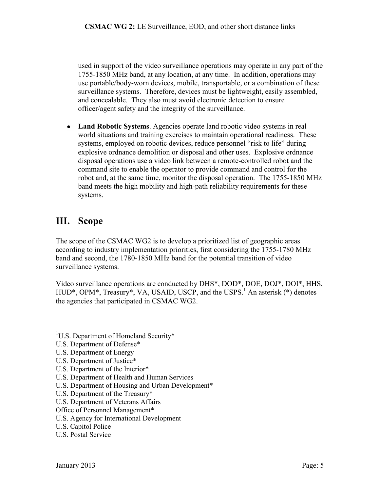used in support of the video surveillance operations may operate in any part of the 1755-1850 MHz band, at any location, at any time. In addition, operations may use portable/body-worn devices, mobile, transportable, or a combination of these surveillance systems. Therefore, devices must be lightweight, easily assembled, and concealable. They also must avoid electronic detection to ensure officer/agent safety and the integrity of the surveillance.

**Land Robotic Systems**. Agencies operate land robotic video systems in real world situations and training exercises to maintain operational readiness. These systems, employed on robotic devices, reduce personnel "risk to life" during explosive ordnance demolition or disposal and other uses. Explosive ordnance disposal operations use a video link between a remote-controlled robot and the command site to enable the operator to provide command and control for the robot and, at the same time, monitor the disposal operation. The 1755-1850 MHz band meets the high mobility and high-path reliability requirements for these systems.

## <span id="page-4-0"></span>**III. Scope**

The scope of the CSMAC WG2 is to develop a prioritized list of geographic areas according to industry implementation priorities, first considering the 1755-1780 MHz band and second, the 1780-1850 MHz band for the potential transition of video surveillance systems.

Video surveillance operations are conducted by DHS\*, DOD\*, DOE, DOJ\*, DOI\*, HHS, HUD<sup>\*</sup>, OPM<sup>\*</sup>, Treasury<sup>\*</sup>, VA, USAID, USCP, and the USPS.<sup>1</sup> An asterisk (\*) denotes the agencies that participated in CSMAC WG2.

- <sup>1</sup>U.S. Department of Homeland Security\*
- U.S. Department of Defense\*
- U.S. Department of Energy

 $\overline{a}$ 

- U.S. Department of Justice\*
- U.S. Department of the Interior\*
- U.S. Department of Health and Human Services
- U.S. Department of Housing and Urban Development\*
- U.S. Department of the Treasury\*
- U.S. Department of Veterans Affairs
- Office of Personnel Management\*
- U.S. Agency for International Development
- U.S. Capitol Police
- U.S. Postal Service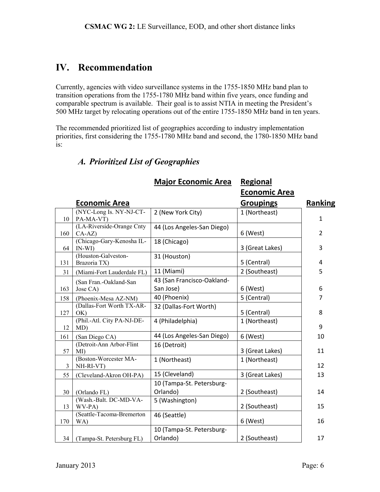### <span id="page-5-0"></span>**IV. Recommendation**

Currently, agencies with video surveillance systems in the 1755-1850 MHz band plan to transition operations from the 1755-1780 MHz band within five years, once funding and comparable spectrum is available. Their goal is to assist NTIA in meeting the President's 500 MHz target by relocating operations out of the entire 1755-1850 MHz band in ten years.

The recommended prioritized list of geographies according to industry implementation priorities, first considering the 1755-1780 MHz band and second, the 1780-1850 MHz band is:

|     |                                       | <b>Major Economic Area</b>              | <b>Regional</b>      |                |
|-----|---------------------------------------|-----------------------------------------|----------------------|----------------|
|     |                                       |                                         | <b>Economic Area</b> |                |
|     | <b>Economic Area</b>                  |                                         | <b>Groupings</b>     | Ranking        |
| 10  | (NYC-Long Is. NY-NJ-CT-<br>PA-MA-VT)  | 2 (New York City)                       | 1 (Northeast)        | 1              |
| 160 | (LA-Riverside-Orange Cnty<br>$CA-AZ$  | 44 (Los Angeles-San Diego)              | 6 (West)             | 2              |
| 64  | (Chicago-Gary-Kenosha IL-<br>$IN-WI)$ | 18 (Chicago)                            | 3 (Great Lakes)      | 3              |
| 131 | (Houston-Galveston-<br>Brazoria TX)   | 31 (Houston)                            | 5 (Central)          | 4              |
| 31  | (Miami-Fort Lauderdale FL)            | 11 (Miami)                              | 2 (Southeast)        | 5              |
| 163 | (San Fran.-Oakland-San<br>Jose CA)    | 43 (San Francisco-Oakland-<br>San Jose) | 6 (West)             | 6              |
| 158 | (Phoenix-Mesa AZ-NM)                  | 40 (Phoenix)                            | 5 (Central)          | $\overline{7}$ |
| 127 | (Dallas-Fort Worth TX-AR-<br>OK)      | 32 (Dallas-Fort Worth)                  | 5 (Central)          | 8              |
| 12  | (Phil.-Atl. City PA-NJ-DE-<br>MD)     | 4 (Philadelphia)                        | 1 (Northeast)        | 9              |
| 161 | (San Diego CA)                        | 44 (Los Angeles-San Diego)              | 6 (West)             | 10             |
| 57  | (Detroit-Ann Arbor-Flint<br>MI)       | 16 (Detroit)                            | 3 (Great Lakes)      | 11             |
| 3   | (Boston-Worcester MA-<br>NH-RI-VT)    | 1 (Northeast)                           | 1 (Northeast)        | 12             |
| 55  | (Cleveland-Akron OH-PA)               | 15 (Cleveland)                          | 3 (Great Lakes)      | 13             |
| 30  | (Orlando FL)                          | 10 (Tampa-St. Petersburg-<br>Orlando)   | 2 (Southeast)        | 14             |
| 13  | (Wash.-Balt. DC-MD-VA-<br>WV-PA)      | 5 (Washington)                          | 2 (Southeast)        | 15             |
| 170 | (Seattle-Tacoma-Bremerton<br>WA)      | 46 (Seattle)                            | 6 (West)             | 16             |
| 34  | (Tampa-St. Petersburg FL)             | 10 (Tampa-St. Petersburg-<br>Orlando)   | 2 (Southeast)        | 17             |

#### <span id="page-5-1"></span>*A. Prioritized List of Geographies*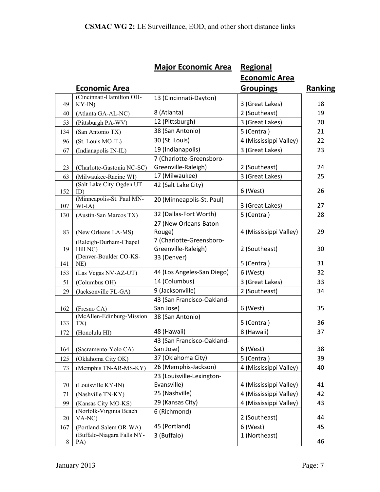|       |                                                | <b>Major Economic Area</b> | <b>Regional</b>        |                |
|-------|------------------------------------------------|----------------------------|------------------------|----------------|
|       |                                                |                            | <b>Economic Area</b>   |                |
|       | <b>Economic Area</b>                           |                            | <b>Groupings</b>       | <b>Ranking</b> |
|       | (Cincinnati-Hamilton OH-                       | 13 (Cincinnati-Dayton)     |                        |                |
| 49    | KY-IN)                                         |                            | 3 (Great Lakes)        | 18             |
| 40    | (Atlanta GA-AL-NC)                             | 8 (Atlanta)                | 2 (Southeast)          | 19             |
| 53    | (Pittsburgh PA-WV)                             | 12 (Pittsburgh)            | 3 (Great Lakes)        | 20             |
| 134   | (San Antonio TX)                               | 38 (San Antonio)           | 5 (Central)            | 21             |
| 96    | (St. Louis MO-IL)                              | 30 (St. Louis)             | 4 (Mississippi Valley) | 22             |
| 67    | (Indianapolis IN-IL)                           | 19 (Indianapolis)          | 3 (Great Lakes)        | 23             |
|       |                                                | 7 (Charlotte-Greensboro-   |                        |                |
| 23    | (Charlotte-Gastonia NC-SC)                     | Greenville-Raleigh)        | 2 (Southeast)          | 24             |
| 63    | (Milwaukee-Racine WI)                          | 17 (Milwaukee)             | 3 (Great Lakes)        | 25             |
|       | (Salt Lake City-Ogden UT-                      | 42 (Salt Lake City)        |                        |                |
| 152   | ID)                                            |                            | 6 (West)               | 26             |
| 107   | (Minneapolis-St. Paul MN-<br>WI-IA)            | 20 (Minneapolis-St. Paul)  | 3 (Great Lakes)        | 27             |
| 130   | (Austin-San Marcos TX)                         | 32 (Dallas-Fort Worth)     | 5 (Central)            | 28             |
|       |                                                | 27 (New Orleans-Baton      |                        |                |
| 83    | (New Orleans LA-MS)                            | Rouge)                     | 4 (Mississippi Valley) | 29             |
|       | (Raleigh-Durham-Chapel                         | 7 (Charlotte-Greensboro-   |                        |                |
| 19    | Hill NC)                                       | Greenville-Raleigh)        | 2 (Southeast)          | 30             |
|       | (Denver-Boulder CO-KS-                         | 33 (Denver)                |                        |                |
| 141   | NE)                                            |                            | 5 (Central)            | 31             |
| 153   | (Las Vegas NV-AZ-UT)                           | 44 (Los Angeles-San Diego) | 6 (West)               | 32             |
| 51    | (Columbus OH)                                  | 14 (Columbus)              | 3 (Great Lakes)        | 33             |
| 29    | (Jacksonville FL-GA)                           | 9 (Jacksonville)           | 2 (Southeast)          | 34             |
|       |                                                | 43 (San Francisco-Oakland- |                        |                |
| 162   | (Fresno CA)                                    | San Jose)                  | 6 (West)               | 35             |
| 133   | (McAllen-Edinburg-Mission<br>TX)               | 38 (San Antonio)           | 5 (Central)            | 36             |
|       | (Honolulu HI)                                  | 48 (Hawaii)                | 8 (Hawaii)             | 37             |
| 172   |                                                | 43 (San Francisco-Oakland- |                        |                |
| 164   | (Sacramento-Yolo CA)                           | San Jose)                  | 6 (West)               | 38             |
| 125   | (Oklahoma City OK)                             | 37 (Oklahoma City)         | 5 (Central)            | 39             |
|       | (Memphis TN-AR-MS-KY)                          | 26 (Memphis-Jackson)       | 4 (Mississippi Valley) | 40             |
| 73    |                                                | 23 (Louisville-Lexington-  |                        |                |
| 70    | (Louisville KY-IN)                             | Evansville)                | 4 (Mississippi Valley) | 41             |
| 71    | (Nashville TN-KY)                              | 25 (Nashville)             | 4 (Mississippi Valley) | 42             |
|       |                                                | 29 (Kansas City)           | 4 (Mississippi Valley) | 43             |
| 99    | (Kansas City MO-KS)<br>(Norfolk-Virginia Beach | 6 (Richmond)               |                        |                |
| 20    | VA-NC)                                         |                            | 2 (Southeast)          | 44             |
| 167   | (Portland-Salem OR-WA)                         | 45 (Portland)              | 6 (West)               | 45             |
|       | (Buffalo-Niagara Falls NY-                     | 3 (Buffalo)                | 1 (Northeast)          |                |
| $8\,$ | PA)                                            |                            |                        | 46             |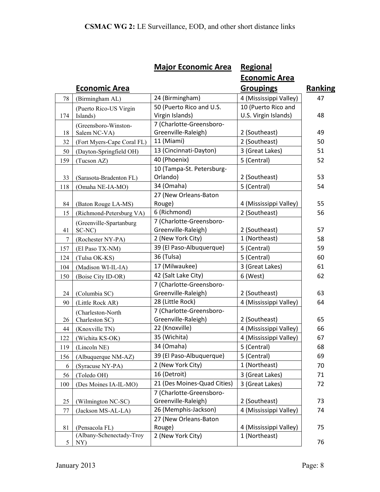|     |                                            | <b>Major Economic Area</b>  | <b>Regional</b>        |                |
|-----|--------------------------------------------|-----------------------------|------------------------|----------------|
|     |                                            |                             | <b>Economic Area</b>   |                |
|     | <u>Economic Area</u>                       |                             | <b>Groupings</b>       | <b>Ranking</b> |
| 78  | (Birmingham AL)                            | 24 (Birmingham)             | 4 (Mississippi Valley) | 47             |
|     | (Puerto Rico-US Virgin                     | 50 (Puerto Rico and U.S.    | 10 (Puerto Rico and    |                |
| 174 | Islands)                                   | Virgin Islands)             | U.S. Virgin Islands)   | 48             |
|     | (Greensboro-Winston-                       | 7 (Charlotte-Greensboro-    |                        |                |
| 18  | Salem NC-VA)                               | Greenville-Raleigh)         | 2 (Southeast)          | 49             |
| 32  | (Fort Myers-Cape Coral FL)                 | 11 (Miami)                  | 2 (Southeast)          | 50             |
| 50  | (Dayton-Springfield OH)                    | 13 (Cincinnati-Dayton)      | 3 (Great Lakes)        | 51             |
| 159 | (Tucson AZ)                                | 40 (Phoenix)                | 5 (Central)            | 52             |
|     |                                            | 10 (Tampa-St. Petersburg-   |                        |                |
| 33  | (Sarasota-Bradenton FL)                    | Orlando)                    | 2 (Southeast)          | 53             |
| 118 | (Omaha NE-IA-MO)                           | 34 (Omaha)                  | 5 (Central)            | 54             |
|     |                                            | 27 (New Orleans-Baton       |                        |                |
| 84  | (Baton Rouge LA-MS)                        | Rouge)                      | 4 (Mississippi Valley) | 55             |
| 15  | (Richmond-Petersburg VA)                   | 6 (Richmond)                | 2 (Southeast)          | 56             |
|     | (Greenville-Spartanburg                    | 7 (Charlotte-Greensboro-    |                        |                |
| 41  | SC-NC)                                     | Greenville-Raleigh)         | 2 (Southeast)          | 57             |
| 7   | (Rochester NY-PA)                          | 2 (New York City)           | 1 (Northeast)          | 58             |
| 157 | (El Paso TX-NM)                            | 39 (El Paso-Albuquerque)    | 5 (Central)            | 59             |
| 124 | (Tulsa OK-KS)                              | 36 (Tulsa)                  | 5 (Central)            | 60             |
| 104 | (Madison WI-IL-IA)                         | 17 (Milwaukee)              | 3 (Great Lakes)        | 61             |
| 150 | (Boise City ID-OR)                         | 42 (Salt Lake City)         | 6 (West)               | 62             |
|     |                                            | 7 (Charlotte-Greensboro-    |                        |                |
| 24  | (Columbia SC)                              | Greenville-Raleigh)         | 2 (Southeast)          | 63             |
| 90  | (Little Rock AR)                           | 28 (Little Rock)            | 4 (Mississippi Valley) | 64             |
|     | (Charleston-North                          | 7 (Charlotte-Greensboro-    |                        |                |
| 26  | Charleston SC)                             | Greenville-Raleigh)         | 2 (Southeast)          | 65             |
| 44  | (Knoxville TN)                             | 22 (Knoxville)              | 4 (Mississippi Valley) | 66             |
| 122 | (Wichita KS-OK)                            | 35 (Wichita)                | 4 (Mississippi Valley) | 67             |
| 119 | (Lincoln NE)                               | 34 (Omaha)                  | 5 (Central)            | 68             |
| 156 | (Albuquerque NM-AZ)                        | 39 (El Paso-Albuquerque)    | 5 (Central)            | 69             |
| 6   | (Syracuse NY-PA)                           | 2 (New York City)           | 1 (Northeast)          | 70             |
| 56  | (Toledo OH)                                | 16 (Detroit)                | 3 (Great Lakes)        | 71             |
| 100 | (Des Moines IA-IL-MO)                      | 21 (Des Moines-Quad Cities) | 3 (Great Lakes)        | 72             |
|     |                                            | 7 (Charlotte-Greensboro-    |                        |                |
| 25  | (Wilmington NC-SC)                         | Greenville-Raleigh)         | 2 (Southeast)          | 73             |
| 77  | (Jackson MS-AL-LA)                         | 26 (Memphis-Jackson)        | 4 (Mississippi Valley) | 74             |
|     |                                            | 27 (New Orleans-Baton       |                        |                |
| 81  | (Pensacola FL)<br>(Albany-Schenectady-Troy | Rouge)                      | 4 (Mississippi Valley) | 75             |
| 5   | NY)                                        | 2 (New York City)           | 1 (Northeast)          | 76             |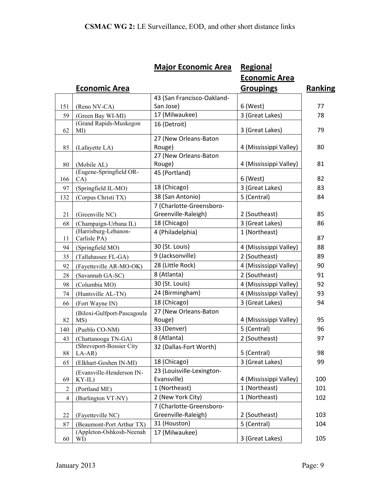|                |                                       | <b>Major Economic Area</b>               | <b>Regional</b>        |                |
|----------------|---------------------------------------|------------------------------------------|------------------------|----------------|
|                |                                       |                                          | <b>Economic Area</b>   |                |
|                | <u>Economic Area</u>                  |                                          | <b>Groupings</b>       | <b>Ranking</b> |
|                |                                       | 43 (San Francisco-Oakland-               |                        |                |
| 151            | (Reno NV-CA)                          | San Jose)                                | 6 (West)               | 77             |
| 59             | (Green Bay WI-MI)                     | 17 (Milwaukee)                           | 3 (Great Lakes)        | 78             |
|                | (Grand Rapids-Muskegon                | 16 (Detroit)                             |                        |                |
| 62             | MI)                                   |                                          | 3 (Great Lakes)        | 79             |
|                |                                       | 27 (New Orleans-Baton                    |                        |                |
| 85             | (Lafayette LA)                        | Rouge)<br>27 (New Orleans-Baton          | 4 (Mississippi Valley) | 80             |
| 80             | (Mobile AL)                           | Rouge)                                   | 4 (Mississippi Valley) | 81             |
|                | (Eugene-Springfield OR-               | 45 (Portland)                            |                        |                |
| 166            | CA)                                   |                                          | 6 (West)               | 82             |
| 97             | (Springfield IL-MO)                   | 18 (Chicago)                             | 3 (Great Lakes)        | 83             |
| 132            | (Corpus Christi TX)                   | 38 (San Antonio)                         | 5 (Central)            | 84             |
|                |                                       | 7 (Charlotte-Greensboro-                 |                        |                |
| 21             | (Greenville NC)                       | Greenville-Raleigh)                      | 2 (Southeast)          | 85             |
| 68             | (Champaign-Urbana IL)                 | 18 (Chicago)                             | 3 (Great Lakes)        | 86             |
| 11             | (Harrisburg-Lebanon-<br>Carlisle PA)  | 4 (Philadelphia)                         | 1 (Northeast)          | 87             |
| 94             | (Springfield MO)                      | 30 (St. Louis)                           | 4 (Mississippi Valley) | 88             |
| 35             | (Tallahassee FL-GA)                   | 9 (Jacksonville)                         | 2 (Southeast)          | 89             |
| 92             | (Fayetteville AR-MO-OK)               | 28 (Little Rock)                         | 4 (Mississippi Valley) | 90             |
| 28             | (Savannah GA-SC)                      | 8 (Atlanta)                              | 2 (Southeast)          | 91             |
| 98             | (Columbia MO)                         | 30 (St. Louis)                           | 4 (Mississippi Valley) | 92             |
| 74             | (Huntsville AL-TN)                    | 24 (Birmingham)                          | 4 (Mississippi Valley) | 93             |
| 66             | (Fort Wayne IN)                       | 18 (Chicago)                             | 3 (Great Lakes)        | 94             |
|                | (Biloxi-Gulfport-Pascagoula           | 27 (New Orleans-Baton                    |                        |                |
| 82             | MS)                                   | Rouge)                                   | 4 (Mississippi Valley) | 95             |
| 140            | (Pueblo CO-NM)                        | 33 (Denver)                              | 5 (Central)            | 96             |
| 43             | (Chattanooga TN-GA)                   | 8 (Atlanta)                              | 2 (Southeast)          | 97             |
| 88             | (Shreveport-Bossier City<br>$LA-AR$   | 32 (Dallas-Fort Worth)                   | 5 (Central)            | 98             |
| 65             | (Elkhart-Goshen IN-MI)                | 18 (Chicago)                             | 3 (Great Lakes)        | 99             |
| 69             | (Evansville-Henderson IN-<br>$KY-IL)$ | 23 (Louisville-Lexington-<br>Evansville) | 4 (Mississippi Valley) | 100            |
| $\overline{2}$ | (Portland ME)                         | 1 (Northeast)                            | 1 (Northeast)          | 101            |
| 4              | (Burlington VT-NY)                    | 2 (New York City)                        | 1 (Northeast)          | 102            |
|                |                                       | 7 (Charlotte-Greensboro-                 |                        |                |
| 22             | (Fayetteville NC)                     | Greenville-Raleigh)                      | 2 (Southeast)          | 103            |
| 87             | (Beaumont-Port Arthur TX)             | 31 (Houston)                             | 5 (Central)            | 104            |
|                | (Appleton-Oshkosh-Neenah              | 17 (Milwaukee)                           |                        |                |
| 60             | WI)                                   |                                          | 3 (Great Lakes)        | 105            |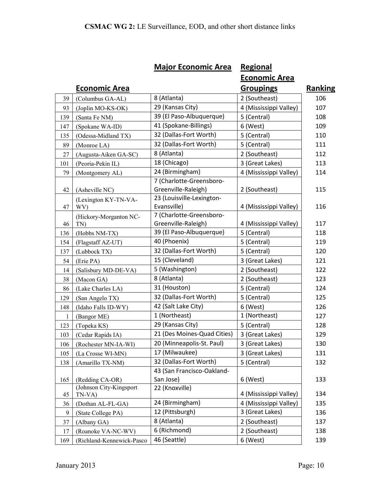|     |                                   | <b>Major Economic Area</b>                      | <b>Regional</b>        |         |
|-----|-----------------------------------|-------------------------------------------------|------------------------|---------|
|     |                                   |                                                 | <b>Economic Area</b>   |         |
|     | <b>Economic Area</b>              |                                                 | <b>Groupings</b>       | Ranking |
| 39  | (Columbus GA-AL)                  | 8 (Atlanta)                                     | 2 (Southeast)          | 106     |
| 93  | (Joplin MO-KS-OK)                 | 29 (Kansas City)                                | 4 (Mississippi Valley) | 107     |
| 139 | (Santa Fe NM)                     | 39 (El Paso-Albuquerque)                        | 5 (Central)            | 108     |
| 147 | (Spokane WA-ID)                   | 41 (Spokane-Billings)                           | 6 (West)               | 109     |
| 135 | (Odessa-Midland TX)               | 32 (Dallas-Fort Worth)                          | 5 (Central)            | 110     |
| 89  | (Monroe LA)                       | 32 (Dallas-Fort Worth)                          | 5 (Central)            | 111     |
| 27  | (Augusta-Aiken GA-SC)             | 8 (Atlanta)                                     | 2 (Southeast)          | 112     |
| 101 | (Peoria-Pekin IL)                 | 18 (Chicago)                                    | 3 (Great Lakes)        | 113     |
| 79  | (Montgomery AL)                   | 24 (Birmingham)                                 | 4 (Mississippi Valley) | 114     |
| 42  | (Asheville NC)                    | 7 (Charlotte-Greensboro-<br>Greenville-Raleigh) | 2 (Southeast)          | 115     |
| 47  | (Lexington KY-TN-VA-<br>WV)       | 23 (Louisville-Lexington-<br>Evansville)        | 4 (Mississippi Valley) | 116     |
| 46  | (Hickory-Morganton NC-<br>TN)     | 7 (Charlotte-Greensboro-<br>Greenville-Raleigh) | 4 (Mississippi Valley) | 117     |
| 136 | (Hobbs NM-TX)                     | 39 (El Paso-Albuquerque)                        | 5 (Central)            | 118     |
| 154 | (Flagstaff AZ-UT)                 | 40 (Phoenix)                                    | 5 (Central)            | 119     |
| 137 | (Lubbock TX)                      | 32 (Dallas-Fort Worth)                          | 5 (Central)            | 120     |
| 54  | (Erie PA)                         | 15 (Cleveland)                                  | 3 (Great Lakes)        | 121     |
| 14  | (Salisbury MD-DE-VA)              | 5 (Washington)                                  | 2 (Southeast)          | 122     |
| 38  | (Macon GA)                        | 8 (Atlanta)                                     | 2 (Southeast)          | 123     |
| 86  | (Lake Charles LA)                 | 31 (Houston)                                    | 5 (Central)            | 124     |
| 129 | (San Angelo TX)                   | 32 (Dallas-Fort Worth)                          | 5 (Central)            | 125     |
| 148 | (Idaho Falls ID-WY)               | 42 (Salt Lake City)                             | 6 (West)               | 126     |
| 1   | (Bangor ME)                       | 1 (Northeast)                                   | 1 (Northeast)          | 127     |
| 123 | (Topeka KS)                       | 29 (Kansas City)                                | 5 (Central)            | 128     |
| 103 | (Cedar Rapids IA)                 | 21 (Des Moines-Quad Cities)                     | 3 (Great Lakes)        | 129     |
| 106 | (Rochester MN-IA-WI)              | 20 (Minneapolis-St. Paul)                       | 3 (Great Lakes)        | 130     |
| 105 | (La Crosse WI-MN)                 | 17 (Milwaukee)                                  | 3 (Great Lakes)        | 131     |
| 138 | (Amarillo TX-NM)                  | 32 (Dallas-Fort Worth)                          | 5 (Central)            | 132     |
| 165 | (Redding CA-OR)                   | 43 (San Francisco-Oakland-<br>San Jose)         | 6 (West)               | 133     |
| 45  | (Johnson City-Kingsport<br>TN-VA) | 22 (Knoxville)                                  | 4 (Mississippi Valley) | 134     |
| 36  | (Dothan AL-FL-GA)                 | 24 (Birmingham)                                 | 4 (Mississippi Valley) | 135     |
| 9   | (State College PA)                | 12 (Pittsburgh)                                 | 3 (Great Lakes)        | 136     |
| 37  | (Albany GA)                       | 8 (Atlanta)                                     | 2 (Southeast)          | 137     |
| 17  | (Roanoke VA-NC-WV)                | 6 (Richmond)                                    | 2 (Southeast)          | 138     |
| 169 | (Richland-Kennewick-Pasco         | 46 (Seattle)                                    | 6 (West)               | 139     |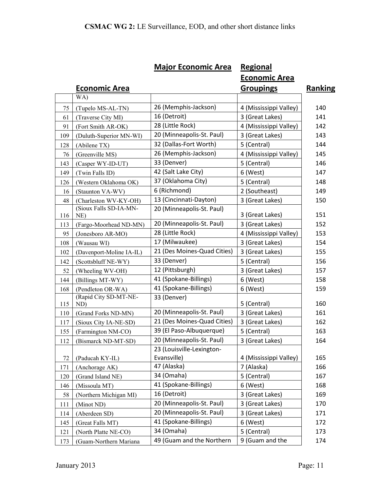|            |                                       | <b>Major Economic Area</b>  | <b>Regional</b>                    |                |
|------------|---------------------------------------|-----------------------------|------------------------------------|----------------|
|            |                                       |                             | <b>Economic Area</b>               |                |
|            | <b>Economic Area</b>                  |                             | <b>Groupings</b>                   | <b>Ranking</b> |
|            | WA)                                   |                             |                                    |                |
| 75         | (Tupelo MS-AL-TN)                     | 26 (Memphis-Jackson)        | 4 (Mississippi Valley)             | 140            |
| 61         | (Traverse City MI)                    | 16 (Detroit)                | 3 (Great Lakes)                    | 141            |
| 91         | (Fort Smith AR-OK)                    | 28 (Little Rock)            | 4 (Mississippi Valley)             | 142            |
| 109        | (Duluth-Superior MN-WI)               | 20 (Minneapolis-St. Paul)   | 3 (Great Lakes)                    | 143            |
| 128        | (Abilene TX)                          | 32 (Dallas-Fort Worth)      | 5 (Central)                        | 144            |
| 76         | (Greenville MS)                       | 26 (Memphis-Jackson)        | 4 (Mississippi Valley)             | 145            |
| 143        | (Casper WY-ID-UT)                     | 33 (Denver)                 | 5 (Central)                        | 146            |
| 149        | (Twin Falls ID)                       | 42 (Salt Lake City)         | 6 (West)                           | 147            |
| 126        | (Western Oklahoma OK)                 | 37 (Oklahoma City)          | 5 (Central)                        | 148            |
| 16         | (Staunton VA-WV)                      | 6 (Richmond)                | 2 (Southeast)                      | 149            |
| 48         | (Charleston WV-KY-OH)                 | 13 (Cincinnati-Dayton)      | 3 (Great Lakes)                    | 150            |
|            | (Sioux Falls SD-IA-MN-                | 20 (Minneapolis-St. Paul)   |                                    |                |
| 116        | NE)                                   | 20 (Minneapolis-St. Paul)   | 3 (Great Lakes)<br>3 (Great Lakes) | 151            |
| 113        | (Fargo-Moorhead ND-MN)                | 28 (Little Rock)            |                                    | 152            |
| 95         | (Jonesboro AR-MO)                     | 17 (Milwaukee)              | 4 (Mississippi Valley)             | 153            |
| 108        | (Wausau WI)                           | 21 (Des Moines-Quad Cities) | 3 (Great Lakes)<br>3 (Great Lakes) | 154<br>155     |
| 102        | (Davenport-Moline IA-IL)              | 33 (Denver)                 | 5 (Central)                        | 156            |
| 142        | (Scottsbluff NE-WY)                   | 12 (Pittsburgh)             | 3 (Great Lakes)                    | 157            |
| 52         | (Wheeling WV-OH)                      | 41 (Spokane-Billings)       | 6 (West)                           | 158            |
| 144<br>168 | (Billings MT-WY)<br>(Pendleton OR-WA) | 41 (Spokane-Billings)       | 6 (West)                           | 159            |
|            | (Rapid City SD-MT-NE-                 | 33 (Denver)                 |                                    |                |
| 115        | ND)                                   |                             | 5 (Central)                        | 160            |
| 110        | (Grand Forks ND-MN)                   | 20 (Minneapolis-St. Paul)   | 3 (Great Lakes)                    | 161            |
| 117        | (Sioux City IA-NE-SD)                 | 21 (Des Moines-Quad Cities) | 3 (Great Lakes)                    | 162            |
| 155        | (Farmington NM-CO)                    | 39 (El Paso-Albuquerque)    | 5 (Central)                        | 163            |
| 112        | (Bismarck ND-MT-SD)                   | 20 (Minneapolis-St. Paul)   | 3 (Great Lakes)                    | 164            |
|            |                                       | 23 (Louisville-Lexington-   |                                    |                |
| 72         | (Paducah KY-IL)                       | Evansville)                 | 4 (Mississippi Valley)             | 165            |
| 171        | (Anchorage AK)                        | 47 (Alaska)                 | 7 (Alaska)                         | 166            |
| 120        | (Grand Island NE)                     | 34 (Omaha)                  | 5 (Central)                        | 167            |
| 146        | (Missoula MT)                         | 41 (Spokane-Billings)       | 6 (West)                           | 168            |
| 58         | (Northern Michigan MI)                | 16 (Detroit)                | 3 (Great Lakes)                    | 169            |
| 111        | (Minot ND)                            | 20 (Minneapolis-St. Paul)   | 3 (Great Lakes)                    | 170            |
| 114        | (Aberdeen SD)                         | 20 (Minneapolis-St. Paul)   | 3 (Great Lakes)                    | 171            |
| 145        | (Great Falls MT)                      | 41 (Spokane-Billings)       | 6 (West)                           | 172            |
| 121        | (North Platte NE-CO)                  | 34 (Omaha)                  | 5 (Central)                        | 173            |
| 173        | (Guam-Northern Mariana                | 49 (Guam and the Northern   | 9 (Guam and the                    | 174            |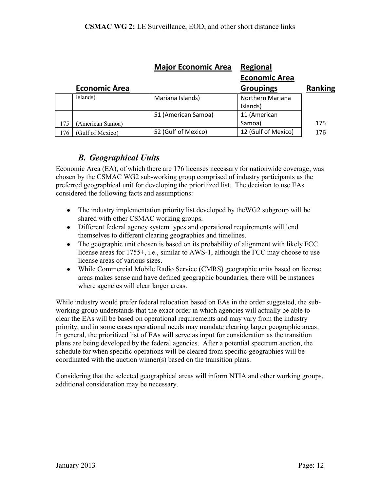|     |                      | <b>Major Economic Area</b> | <b>Regional</b>         |                |
|-----|----------------------|----------------------------|-------------------------|----------------|
|     |                      |                            | <b>Economic Area</b>    |                |
|     | <b>Economic Area</b> |                            | <b>Groupings</b>        | <b>Ranking</b> |
|     | Islands)             | Mariana Islands)           | <b>Northern Mariana</b> |                |
|     |                      |                            | Islands)                |                |
|     |                      | 51 (American Samoa)        | 11 (American            |                |
| 175 | (American Samoa)     |                            | Samoa)                  | 175            |
| 176 | (Gulf of Mexico)     | 52 (Gulf of Mexico)        | 12 (Gulf of Mexico)     | 176            |

#### *B. Geographical Units*

<span id="page-11-0"></span>Economic Area (EA), of which there are 176 licenses necessary for nationwide coverage, was chosen by the CSMAC WG2 sub-working group comprised of industry participants as the preferred geographical unit for developing the prioritized list. The decision to use EAs considered the following facts and assumptions:

- The industry implementation priority list developed by theWG2 subgroup will be shared with other CSMAC working groups.
- Different federal agency system types and operational requirements will lend themselves to different clearing geographies and timelines.
- The geographic unit chosen is based on its probability of alignment with likely FCC license areas for 1755+, i.e., similar to AWS-1, although the FCC may choose to use license areas of various sizes.
- While Commercial Mobile Radio Service (CMRS) geographic units based on license areas makes sense and have defined geographic boundaries, there will be instances where agencies will clear larger areas.

While industry would prefer federal relocation based on EAs in the order suggested, the subworking group understands that the exact order in which agencies will actually be able to clear the EAs will be based on operational requirements and may vary from the industry priority, and in some cases operational needs may mandate clearing larger geographic areas. In general, the prioritized list of EAs will serve as input for consideration as the transition plans are being developed by the federal agencies. After a potential spectrum auction, the schedule for when specific operations will be cleared from specific geographies will be coordinated with the auction winner(s) based on the transition plans.

Considering that the selected geographical areas will inform NTIA and other working groups, additional consideration may be necessary.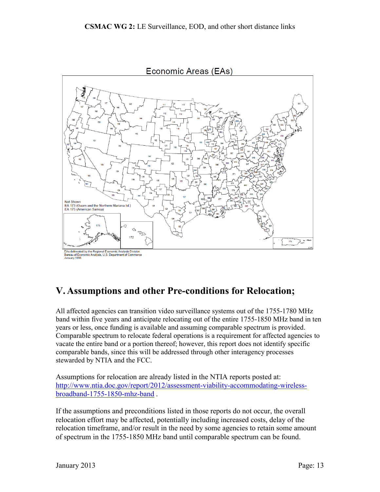

### <span id="page-12-0"></span>**V. Assumptions and other Pre-conditions for Relocation;**

All affected agencies can transition video surveillance systems out of the 1755-1780 MHz band within five years and anticipate relocating out of the entire 1755-1850 MHz band in ten years or less, once funding is available and assuming comparable spectrum is provided. Comparable spectrum to relocate federal operations is a requirement for affected agencies to vacate the entire band or a portion thereof; however, this report does not identify specific comparable bands, since this will be addressed through other interagency processes stewarded by NTIA and the FCC.

Assumptions for relocation are already listed in the NTIA reports posted at: [http://www.ntia.doc.gov/report/2012/assessment-viability-accommodating-wireless](http://www.ntia.doc.gov/report/2012/assessment-viability-accommodating-wireless-broadband-1755-1850-mhz-band)[broadband-1755-1850-mhz-band](http://www.ntia.doc.gov/report/2012/assessment-viability-accommodating-wireless-broadband-1755-1850-mhz-band) .

If the assumptions and preconditions listed in those reports do not occur, the overall relocation effort may be affected, potentially including increased costs, delay of the relocation timeframe, and/or result in the need by some agencies to retain some amount of spectrum in the 1755-1850 MHz band until comparable spectrum can be found.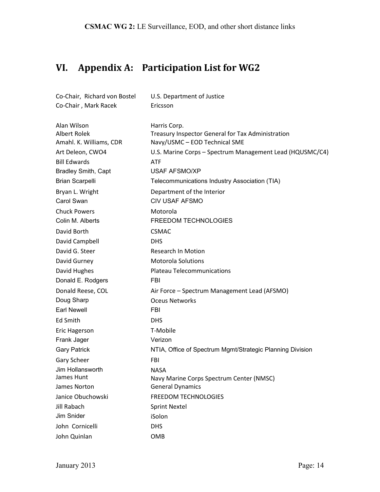# <span id="page-13-0"></span>**VI. Appendix A: Participation List for WG2**

| Co-Chair, Richard von Bostel            | U.S. Department of Justice                                                         |
|-----------------------------------------|------------------------------------------------------------------------------------|
| Co-Chair, Mark Racek                    | Ericsson                                                                           |
| Alan Wilson                             | Harris Corp.                                                                       |
| Albert Rolek<br>Amahl. K. Williams, CDR | Treasury Inspector General for Tax Administration<br>Navy/USMC - EOD Technical SME |
| Art Deleon, CWO4                        | U.S. Marine Corps - Spectrum Management Lead (HQUSMC/C4)                           |
| <b>Bill Edwards</b>                     | <b>ATF</b>                                                                         |
| <b>Bradley Smith, Capt</b>              | <b>USAF AFSMO/XP</b>                                                               |
| <b>Brian Scarpelli</b>                  | Telecommunications Industry Association (TIA)                                      |
| Bryan L. Wright                         | Department of the Interior                                                         |
| Carol Swan                              | <b>CIV USAF AFSMO</b>                                                              |
| <b>Chuck Powers</b>                     | Motorola                                                                           |
| Colin M. Alberts                        | FREEDOM TECHNOLOGIES                                                               |
| David Borth                             | <b>CSMAC</b>                                                                       |
| David Campbell                          | <b>DHS</b>                                                                         |
| David G. Steer                          | <b>Research In Motion</b>                                                          |
| David Gurney                            | <b>Motorola Solutions</b>                                                          |
| David Hughes                            | <b>Plateau Telecommunications</b>                                                  |
| Donald E. Rodgers                       | <b>FBI</b>                                                                         |
| Donald Reese, COL                       | Air Force - Spectrum Management Lead (AFSMO)                                       |
| Doug Sharp                              | <b>Oceus Networks</b>                                                              |
| <b>Earl Newell</b>                      | FBI                                                                                |
| Ed Smith                                | <b>DHS</b>                                                                         |
| Eric Hagerson                           | T-Mobile                                                                           |
| Frank Jager                             | Verizon                                                                            |
| <b>Gary Patrick</b>                     | NTIA, Office of Spectrum Mgmt/Strategic Planning Division                          |
| Gary Scheer                             | <b>FBI</b>                                                                         |
| Jim Hollansworth                        | NASA                                                                               |
| James Hunt                              | Navy Marine Corps Spectrum Center (NMSC)                                           |
| James Norton                            | <b>General Dynamics</b>                                                            |
| Janice Obuchowski                       | <b>FREEDOM TECHNOLOGIES</b>                                                        |
| Jill Rabach                             | <b>Sprint Nextel</b>                                                               |
| Jim Snider                              | iSolon                                                                             |
| John Cornicelli                         | <b>DHS</b>                                                                         |
| John Quinlan                            | OMB                                                                                |